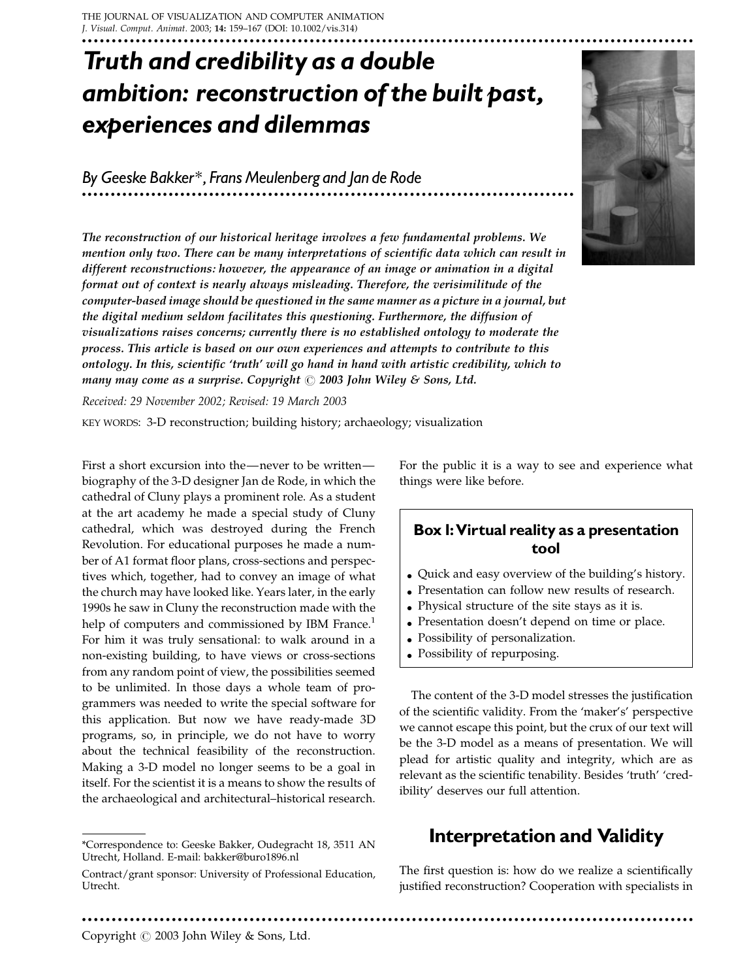THE JOURNAL OF VISUALIZATION AND COMPUTER ANIMATION J. Visual. Comput. Animat. 2003; 14: 159-167 (DOI: 10.1002/vis.314)

# Truth and credibility as a double ambition: reconstruction of the built past, experiences and dilemmas

By Geeske Bakker\*, Frans Meulenberg and Jan de Rode

The reconstruction of our historical heritage involves a few fundamental problems. We mention only two. There can be many interpretations of scientific data which can result in different reconstructions: however, the appearance of an image or animation in a digital format out of context is nearly always misleading. Therefore, the verisimilitude of the computer-based image should be questioned in the same manner as a picture in a journal, but the digital medium seldom facilitates this questioning. Furthermore, the diffusion of visualizations raises concerns; currently there is no established ontology to moderate the process. This article is based on our own experiences and attempts to contribute to this ontology. In this, scientific 'truth' will go hand in hand with artistic credibility, which to many may come as a surprise. Copyright  $\copyright$  2003 John Wiley & Sons, Ltd.

Received: 29 November 2002; Revised: 19 March 2003

KEY WORDS: 3-D reconstruction; building history; archaeology; visualization

First a short excursion into the-never to be writtenbiography of the 3-D designer Jan de Rode, in which the cathedral of Cluny plays a prominent role. As a student at the art academy he made a special study of Cluny cathedral, which was destroyed during the French Revolution. For educational purposes he made a number of A1 format floor plans, cross-sections and perspectives which, together, had to convey an image of what the church may have looked like. Years later, in the early 1990s he saw in Cluny the reconstruction made with the help of computers and commissioned by IBM France.<sup>1</sup> For him it was truly sensational: to walk around in a non-existing building, to have views or cross-sections from any random point of view, the possibilities seemed to be unlimited. In those days a whole team of programmers was needed to write the special software for this application. But now we have ready-made 3D programs, so, in principle, we do not have to worry about the technical feasibility of the reconstruction. Making a 3-D model no longer seems to be a goal in itself. For the scientist it is a means to show the results of the archaeological and architectural-historical research. For the public it is a way to see and experience what things were like before.

#### Box I: Virtual reality as a presentation tool

- Quick and easy overview of the building's history.
- Presentation can follow new results of research.
- $\bullet$  Physical structure of the site stays as it is.
- Presentation doesn't depend on time or place.
- Possibility of personalization.
- Possibility of repurposing.

The content of the 3-D model stresses the justification of the scientific validity. From the 'maker's' perspective we cannot escape this point, but the crux of our text will be the 3-D model as a means of presentation. We will plead for artistic quality and integrity, which are as relevant as the scientific tenability. Besides 'truth' 'credibility' deserves our full attention.

#### **Interpretation and Validity**

The first question is: how do we realize a scientifically justified reconstruction? Cooperation with specialists in



<sup>\*</sup>Correspondence to: Geeske Bakker, Oudegracht 18, 3511 AN Utrecht, Holland. E-mail: bakker@buro1896.nl

Contract/grant sponsor: University of Professional Education, Utrecht.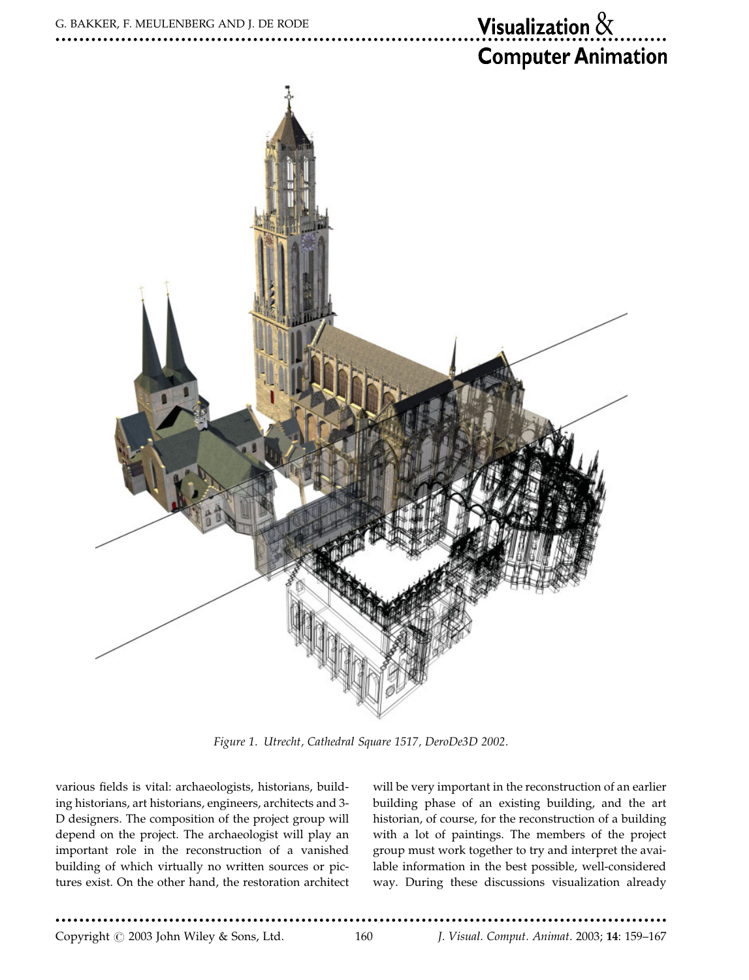

Figure 1. Utrecht, Cathedral Square 1517, DeroDe3D 2002.

various fields is vital: archaeologists, historians, building historians, art historians, engineers, architects and 3-D designers. The composition of the project group will depend on the project. The archaeologist will play an important role in the reconstruction of a vanished building of which virtually no written sources or pictures exist. On the other hand, the restoration architect will be very important in the reconstruction of an earlier building phase of an existing building, and the art historian, of course, for the reconstruction of a building with a lot of paintings. The members of the project group must work together to try and interpret the available information in the best possible, well-considered way. During these discussions visualization already

J. Visual. Comput. Animat. 2003; 14: 159-167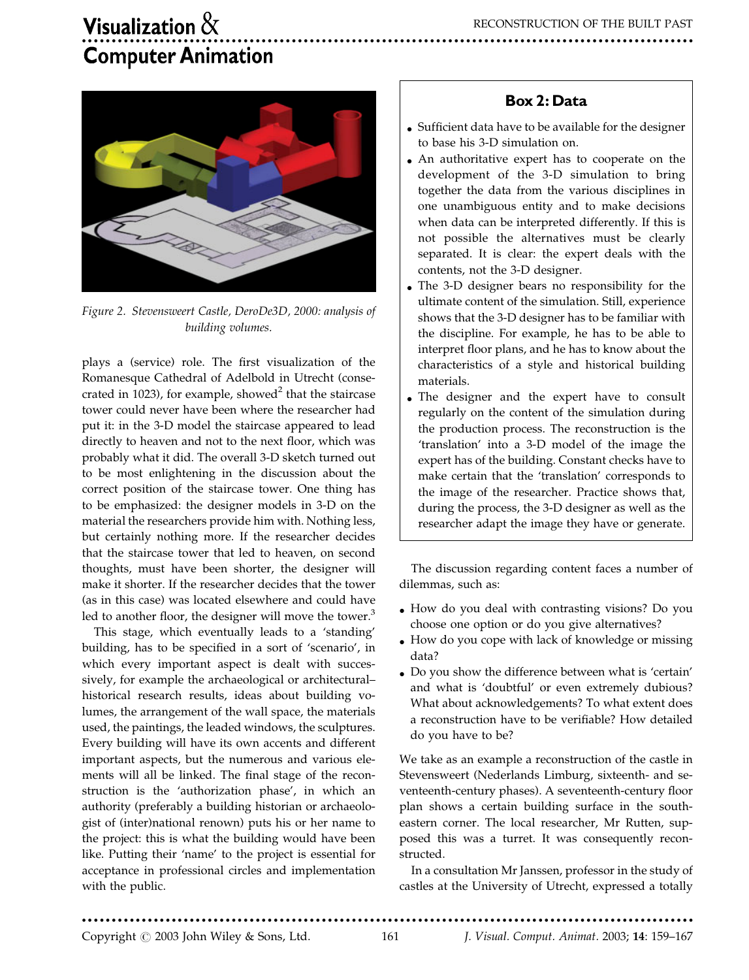## Visualization  $\&$ \*\*\*\*\*\*\*\*\*\*\*\*\*\*\*\*\*\*\*\*\*\*\*\*\*\*\*\*\*\*\*\*\*\*\*\*\*\*\*\*\*\*\*\*\*\*\*\*\*\*\*\*\*\*\*\*\*\*\*\*\*\*\*\*\*\*\*\*\*\*\*\*\*\*\*\*\*\*\*\*\*\*\*\*\*\*\*\*\*\*\*\*\*\*\*\*\*\*\*\*\*\*



Figure 2. Stevensweert Castle, DeroDe3D, 2000: analysis of building volumes.

plays a (service) role. The first visualization of the Romanesque Cathedral of Adelbold in Utrecht (consecrated in 1023), for example, showed<sup>2</sup> that the staircase tower could never have been where the researcher had put it: in the 3-D model the staircase appeared to lead directly to heaven and not to the next floor, which was probably what it did. The overall 3-D sketch turned out to be most enlightening in the discussion about the correct position of the staircase tower. One thing has to be emphasized: the designer models in 3-D on the material the researchers provide him with. Nothing less, but certainly nothing more. If the researcher decides that the staircase tower that led to heaven, on second thoughts, must have been shorter, the designer will make it shorter. If the researcher decides that the tower (as in this case) was located elsewhere and could have led to another floor, the designer will move the tower.<sup>3</sup>

This stage, which eventually leads to a 'standing' building, has to be specified in a sort of 'scenario', in which every important aspect is dealt with successively, for example the archaeological or architectural– historical research results, ideas about building volumes, the arrangement of the wall space, the materials used, the paintings, the leaded windows, the sculptures. Every building will have its own accents and different important aspects, but the numerous and various elements will all be linked. The final stage of the reconstruction is the 'authorization phase', in which an authority (preferably a building historian or archaeologist of (inter)national renown) puts his or her name to the project: this is what the building would have been like. Putting their 'name' to the project is essential for acceptance in professional circles and implementation with the public.

#### Box 2:Data

- Sufficient data have to be available for the designer to base his 3-D simulation on.
- An authoritative expert has to cooperate on the development of the 3-D simulation to bring together the data from the various disciplines in one unambiguous entity and to make decisions when data can be interpreted differently. If this is not possible the alternatives must be clearly separated. It is clear: the expert deals with the contents, not the 3-D designer.
- The 3-D designer bears no responsibility for the ultimate content of the simulation. Still, experience shows that the 3-D designer has to be familiar with the discipline. For example, he has to be able to interpret floor plans, and he has to know about the characteristics of a style and historical building materials.
- The designer and the expert have to consult regularly on the content of the simulation during the production process. The reconstruction is the 'translation' into a 3-D model of the image the expert has of the building. Constant checks have to make certain that the 'translation' corresponds to the image of the researcher. Practice shows that, during the process, the 3-D designer as well as the researcher adapt the image they have or generate.

The discussion regarding content faces a number of dilemmas, such as:

- \* How do you deal with contrasting visions? Do you choose one option or do you give alternatives?
- How do you cope with lack of knowledge or missing data?
- \* Do you show the difference between what is 'certain' and what is 'doubtful' or even extremely dubious? What about acknowledgements? To what extent does a reconstruction have to be verifiable? How detailed do you have to be?

We take as an example a reconstruction of the castle in Stevensweert (Nederlands Limburg, sixteenth- and seventeenth-century phases). A seventeenth-century floor plan shows a certain building surface in the southeastern corner. The local researcher, Mr Rutten, supposed this was a turret. It was consequently reconstructed.

In a consultation Mr Janssen, professor in the study of castles at the University of Utrecht, expressed a totally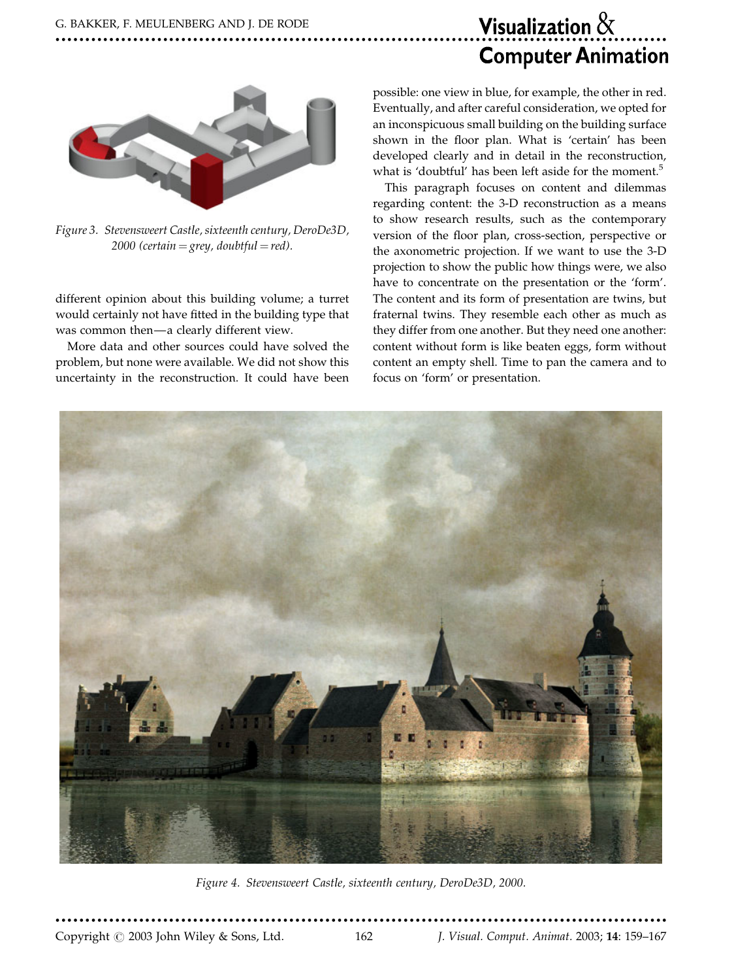

Figure 3. Stevensweert Castle, sixteenth century, DeroDe3D, 2000 (certain = grey, doubtful = red).

different opinion about this building volume; a turret would certainly not have fitted in the building type that was common then—a clearly different view.

More data and other sources could have solved the problem, but none were available. We did not show this uncertainty in the reconstruction. It could have been

possible: one view in blue, for example, the other in red. Eventually, and after careful consideration, we opted for an inconspicuous small building on the building surface shown in the floor plan. What is 'certain' has been developed clearly and in detail in the reconstruction, what is 'doubtful' has been left aside for the moment.<sup>5</sup>

This paragraph focuses on content and dilemmas regarding content: the 3-D reconstruction as a means to show research results, such as the contemporary version of the floor plan, cross-section, perspective or the axonometric projection. If we want to use the 3-D projection to show the public how things were, we also have to concentrate on the presentation or the 'form'. The content and its form of presentation are twins, but fraternal twins. They resemble each other as much as they differ from one another. But they need one another: content without form is like beaten eggs, form without content an empty shell. Time to pan the camera and to focus on 'form' or presentation.



Figure 4. Stevensweert Castle, sixteenth century, DeroDe3D, 2000.

Copyright © 2003 John Wiley & Sons, Ltd.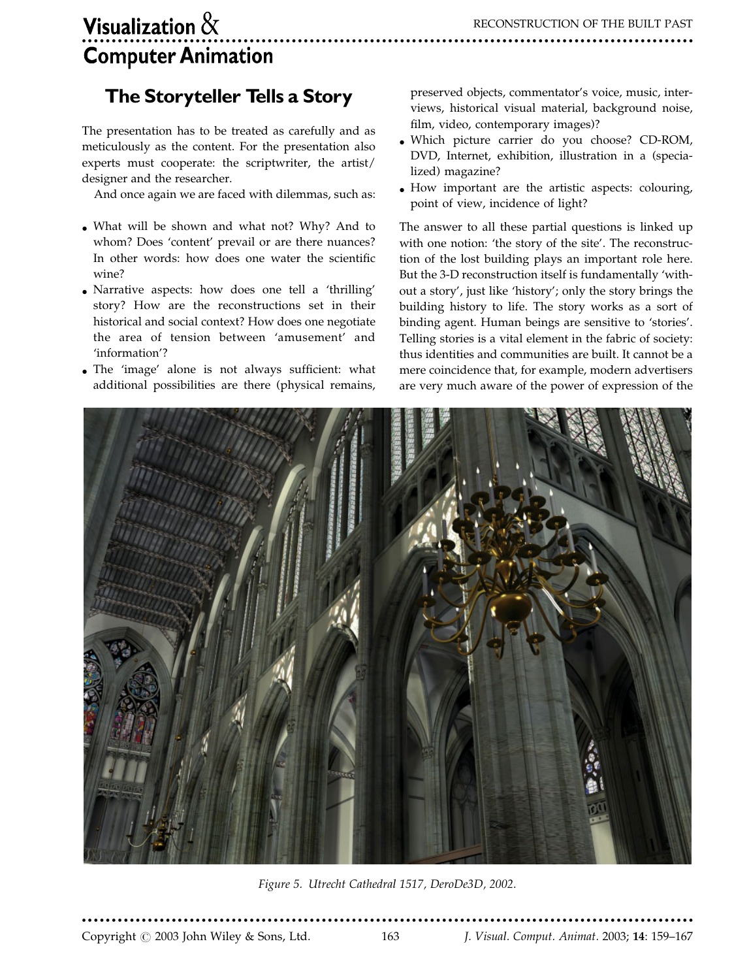### The Storyteller Tells a Story

The presentation has to be treated as carefully and as meticulously as the content. For the presentation also experts must cooperate: the scriptwriter, the artist/ designer and the researcher.

And once again we are faced with dilemmas, such as:

- What will be shown and what not? Why? And to whom? Does 'content' prevail or are there nuances? In other words: how does one water the scientific wine?
- Narrative aspects: how does one tell a 'thrilling' story? How are the reconstructions set in their historical and social context? How does one negotiate the area of tension between 'amusement' and 'information'?
- · The 'image' alone is not always sufficient: what additional possibilities are there (physical remains,

preserved objects, commentator's voice, music, interviews, historical visual material, background noise, film, video, contemporary images)?

- · Which picture carrier do you choose? CD-ROM, DVD, Internet, exhibition, illustration in a (specialized) magazine?
- How important are the artistic aspects: colouring, point of view, incidence of light?

The answer to all these partial questions is linked up with one notion: 'the story of the site'. The reconstruction of the lost building plays an important role here. But the 3-D reconstruction itself is fundamentally 'without a story', just like 'history'; only the story brings the building history to life. The story works as a sort of binding agent. Human beings are sensitive to 'stories'. Telling stories is a vital element in the fabric of society: thus identities and communities are built. It cannot be a mere coincidence that, for example, modern advertisers are very much aware of the power of expression of the



Figure 5. Utrecht Cathedral 1517, DeroDe3D, 2002.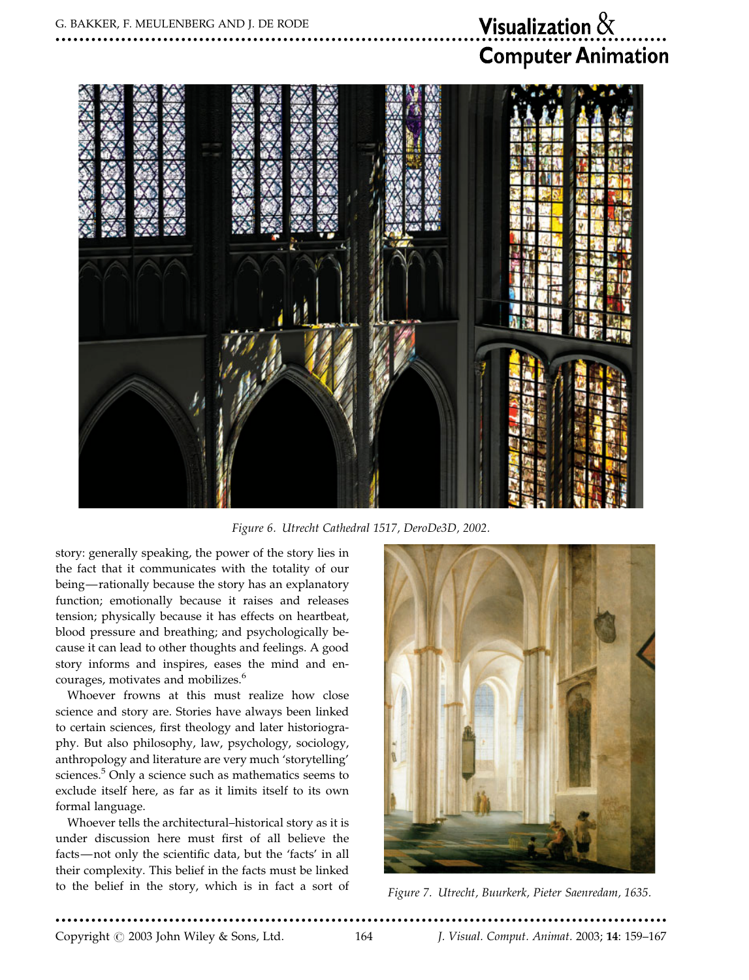

Figure 6. Utrecht Cathedral 1517, DeroDe3D, 2002.

story: generally speaking, the power of the story lies in the fact that it communicates with the totality of our being—rationally because the story has an explanatory function; emotionally because it raises and releases tension; physically because it has effects on heartbeat, blood pressure and breathing; and psychologically because it can lead to other thoughts and feelings. A good story informs and inspires, eases the mind and encourages, motivates and mobilizes.<sup>6</sup>

Whoever frowns at this must realize how close science and story are. Stories have always been linked to certain sciences, first theology and later historiography. But also philosophy, law, psychology, sociology, anthropology and literature are very much 'storytelling' sciences.<sup>5</sup> Only a science such as mathematics seems to exclude itself here, as far as it limits itself to its own formal language.

Whoever tells the architectural-historical story as it is under discussion here must first of all believe the facts-not only the scientific data, but the 'facts' in all their complexity. This belief in the facts must be linked to the belief in the story, which is in fact a sort of



Figure 7. Utrecht, Buurkerk, Pieter Saenredam, 1635.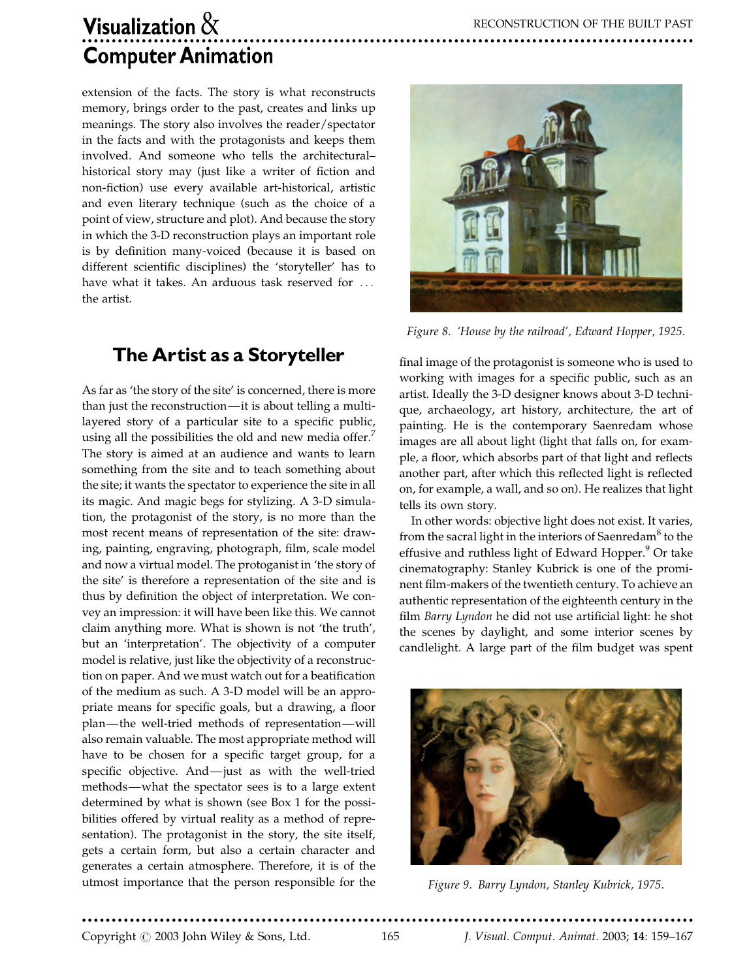#### Visualization  $\&$ \*\*\*\*\*\*\*\*\*\*\*\*\*\*\*\*\*\*\*\*\*\*\*\*\*\*\*\*\*\*\*\*\*\*\*\*\*\*\*\*\*\*\*\*\*\*\*\*\*\*\*\*\*\*\*\*\*\*\*\*\*\*\*\*\*\*\*\*\*\*\*\*\*\*\*\*\*\*\*\*\*\*\*\*\*\*\*\*\*\*\*\*\*\*\*\*\*\*\*\*\*\* **Computer Animation**

extension of the facts. The story is what reconstructs memory, brings order to the past, creates and links up meanings. The story also involves the reader/spectator in the facts and with the protagonists and keeps them involved. And someone who tells the architectural– historical story may (just like a writer of fiction and non-fiction) use every available art-historical, artistic and even literary technique (such as the choice of a point of view, structure and plot). And because the story in which the 3-D reconstruction plays an important role is by definition many-voiced (because it is based on different scientific disciplines) the 'storyteller' has to have what it takes. An arduous task reserved for ... the artist.

### The Artist as a Storyteller

As far as 'the story of the site' is concerned, there is more than just the reconstruction—it is about telling a multilayered story of a particular site to a specific public, using all the possibilities the old and new media offer.<sup>7</sup> The story is aimed at an audience and wants to learn something from the site and to teach something about the site; it wants the spectator to experience the site in all its magic. And magic begs for stylizing. A 3-D simulation, the protagonist of the story, is no more than the most recent means of representation of the site: drawing, painting, engraving, photograph, film, scale model and now a virtual model. The protoganist in 'the story of the site' is therefore a representation of the site and is thus by definition the object of interpretation. We convey an impression: it will have been like this. We cannot claim anything more. What is shown is not 'the truth', but an 'interpretation'. The objectivity of a computer model is relative, just like the objectivity of a reconstruction on paper. And we must watch out for a beatification of the medium as such. A 3-D model will be an appropriate means for specific goals, but a drawing, a floor plan—the well-tried methods of representation—will also remain valuable. The most appropriate method will have to be chosen for a specific target group, for a specific objective. And—just as with the well-tried methods—what the spectator sees is to a large extent determined by what is shown (see Box 1 for the possibilities offered by virtual reality as a method of representation). The protagonist in the story, the site itself, gets a certain form, but also a certain character and generates a certain atmosphere. Therefore, it is of the utmost importance that the person responsible for the



Figure 8. 'House by the railroad', Edward Hopper, 1925.

final image of the protagonist is someone who is used to working with images for a specific public, such as an artist. Ideally the 3-D designer knows about 3-D technique, archaeology, art history, architecture, the art of painting. He is the contemporary Saenredam whose images are all about light (light that falls on, for example, a floor, which absorbs part of that light and reflects another part, after which this reflected light is reflected on, for example, a wall, and so on). He realizes that light tells its own story.

In other words: objective light does not exist. It varies, from the sacral light in the interiors of Saenredam<sup>8</sup> to the effusive and ruthless light of Edward Hopper.<sup>9</sup> Or take cinematography: Stanley Kubrick is one of the prominent film-makers of the twentieth century. To achieve an authentic representation of the eighteenth century in the film Barry Lyndon he did not use artificial light: he shot the scenes by daylight, and some interior scenes by candlelight. A large part of the film budget was spent



Figure 9. Barry Lyndon, Stanley Kubrick, 1975.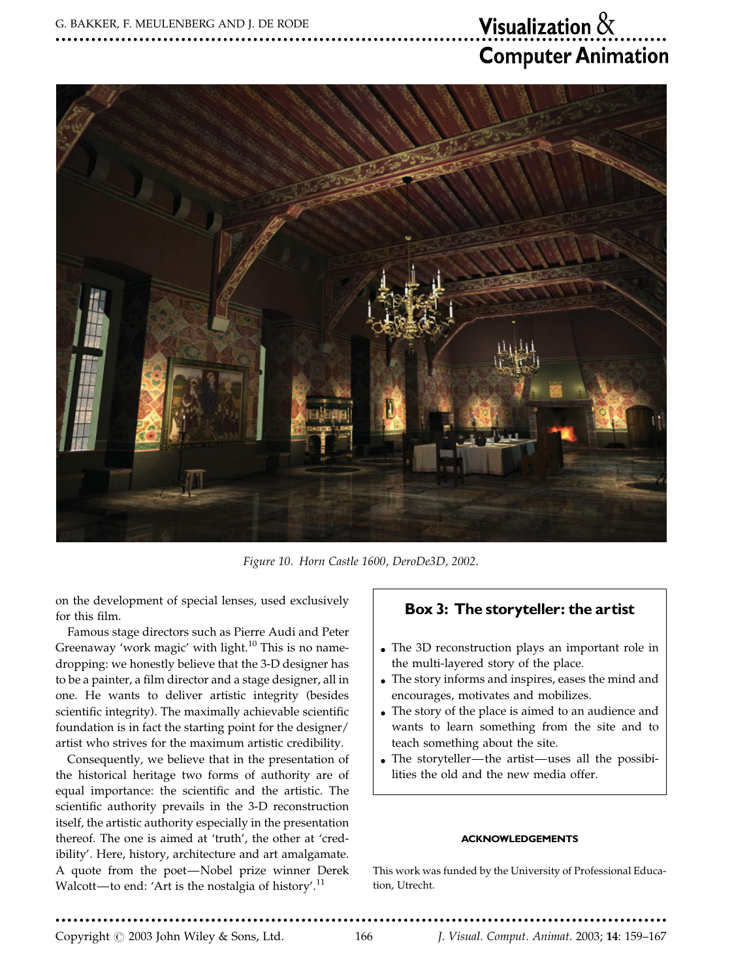

Figure 10. Horn Castle 1600, DeroDe3D, 2002.

on the development of special lenses, used exclusively for this film.

Famous stage directors such as Pierre Audi and Peter Greenaway 'work magic' with light.<sup>10</sup> This is no namedropping: we honestly believe that the 3-D designer has to be a painter, a film director and a stage designer, all in one. He wants to deliver artistic integrity (besides scientific integrity). The maximally achievable scientific foundation is in fact the starting point for the designer/ artist who strives for the maximum artistic credibility.

Consequently, we believe that in the presentation of the historical heritage two forms of authority are of equal importance: the scientific and the artistic. The scientific authority prevails in the 3-D reconstruction itself, the artistic authority especially in the presentation thereof. The one is aimed at 'truth', the other at 'credibility'. Here, history, architecture and art amalgamate. A quote from the poet-Nobel prize winner Derek Walcott—to end: 'Art is the nostalgia of history'.<sup>11</sup>

#### Box 3: The storyteller: the artist

- The 3D reconstruction plays an important role in the multi-layered story of the place.
- The story informs and inspires, eases the mind and encourages, motivates and mobilizes.
- The story of the place is aimed to an audience and wants to learn something from the site and to teach something about the site.
- The storyteller—the artist—uses all the possibilities the old and the new media offer.

#### **ACKNOWLEDGEMENTS**

This work was funded by the University of Professional Education, Utrecht.